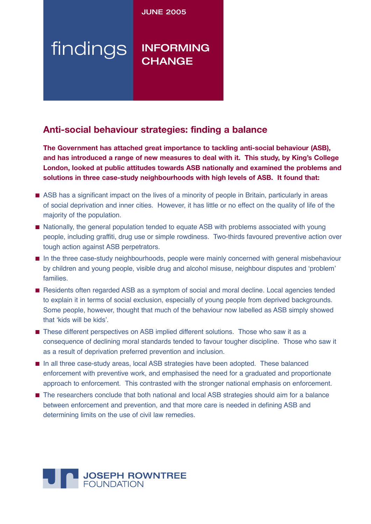**JUNE 2005** 

# findings INFORMING **CHANGE**

## **Anti-social behaviour strategies: finding a balance**

**The Government has attached great importance to tackling anti-social behaviour (ASB), and has introduced a range of new measures to deal with it. This study, by King's College London, looked at public attitudes towards ASB nationally and examined the problems and solutions in three case-study neighbourhoods with high levels of ASB. It found that:**

- ASB has a significant impact on the lives of a minority of people in Britain, particularly in areas of social deprivation and inner cities. However, it has little or no effect on the quality of life of the majority of the population.
- Nationally, the general population tended to equate ASB with problems associated with young people, including graffiti, drug use or simple rowdiness. Two-thirds favoured preventive action over tough action against ASB perpetrators.
- In the three case-study neighbourhoods, people were mainly concerned with general misbehaviour by children and young people, visible drug and alcohol misuse, neighbour disputes and ʻproblem' families.
- Residents often regarded ASB as a symptom of social and moral decline. Local agencies tended to explain it in terms of social exclusion, especially of young people from deprived backgrounds. Some people, however, thought that much of the behaviour now labelled as ASB simply showed that ʻkids will be kids'.
- These different perspectives on ASB implied different solutions. Those who saw it as a consequence of declining moral standards tended to favour tougher discipline. Those who saw it as a result of deprivation preferred prevention and inclusion.
- In all three case-study areas, local ASB strategies have been adopted. These balanced enforcement with preventive work, and emphasised the need for a graduated and proportionate approach to enforcement. This contrasted with the stronger national emphasis on enforcement.
- The researchers conclude that both national and local ASB strategies should aim for a balance between enforcement and prevention, and that more care is needed in defining ASB and determining limits on the use of civil law remedies.

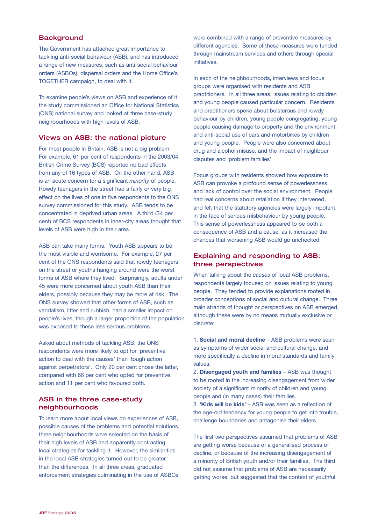## **Background**

The Government has attached great importance to tackling anti-social behaviour (ASB), and has introduced a range of new measures, such as anti-social behaviour orders (ASBOs), dispersal orders and the Home Office's TOGETHER campaign, to deal with it.

To examine people's views on ASB and experience of it, the study commissioned an Office for National Statistics (ONS) national survey and looked at three case-study neighbourhoods with high levels of ASB.

#### Views on ASB: the national picture

For most people in Britain, ASB is not a big problem. For example, 61 per cent of respondents in the 2003/04 British Crime Survey (BCS) reported no bad effects from any of 16 types of ASB. On the other hand, ASB is an acute concern for a significant *minority* of people. Rowdy teenagers in the street had a fairly or very big effect on the lives of one in five respondents to the ONS survey commissioned for this study. ASB tends to be concentrated in deprived urban areas. A third (34 per cent) of BCS respondents in inner-city areas thought that levels of ASB were high in their area.

ASB can take many forms. Youth ASB appears to be the most visible and worrisome. For example, 27 per cent of the ONS respondents said that rowdy teenagers on the street or youths hanging around were the worst forms of ASB where they lived. Surprisingly, adults under 45 were more concerned about youth ASB than their elders, possibly because they may be more at risk. The ONS survey showed that other forms of ASB, such as vandalism, litter and rubbish, had a smaller impact on people's lives, though a larger proportion of the population was exposed to these less serious problems.

Asked about methods of tackling ASB, the ONS respondents were more likely to opt for 'preventive action to deal with the causes' than 'tough action against perpetrators'. Only 20 per cent chose the latter, compared with 66 per cent who opted for preventive action and 11 per cent who favoured both.

## ASB in the three case-study neighbourhoods

To learn more about local views on experiences of ASB, possible causes of the problems and potential solutions, three neighbourhoods were selected on the basis of their high levels of ASB and apparently contrasting local strategies for tackling it. However, the similarities in the local ASB strategies turned out to be greater than the differences. In all three areas, graduated enforcement strategies culminating in the use of ASBOs

were combined with a range of preventive measures by different agencies. Some of these measures were funded through mainstream services and others through special initiatives.

In each of the neighbourhoods, interviews and focus groups were organised with residents and ASB practitioners. In all three areas, issues relating to children and young people caused particular concern. Residents and practitioners spoke about boisterous and rowdy behaviour by children, young people congregating, young people causing damage to property and the environment, and anti-social use of cars and motorbikes by children and young people. People were also concerned about drug and alcohol misuse, and the impact of neighbour disputes and 'problem families'.

Focus groups with residents showed how exposure to ASB can provoke a profound sense of powerlessness and lack of control over the social environment. People had real concerns about retaliation if they intervened, and felt that the statutory agencies were largely impotent in the face of serious misbehaviour by young people. This sense of powerlessness appeared to be both a consequence of ASB and a cause, as it increased the chances that worsening ASB would go unchecked.

## Explaining and responding to ASB: three perspectives

When talking about the *causes* of local ASB problems, respondents largely focused on issues relating to young people. They tended to provide explanations rooted in broader conceptions of social and cultural change. Three main strands of thought or perspectives on ASB emerged, although these were by no means mutually exclusive or discrete:

1. **Social and moral decline** – ASB problems were seen as symptoms of wider social and cultural change, and more specifically a decline in moral standards and family values.

2. **Disengaged youth and families** – ASB was thought to be rooted in the increasing disengagement from wider society of a significant minority of children and young people and (in many cases) their families.

3. **'Kids will be kids'** – ASB was seen as a reflection of the age-old tendency for young people to get into trouble, challenge boundaries and antagonise their elders.

The first two perspectives assumed that problems of ASB are getting worse because of a generalised process of decline, or because of the increasing disengagement of a minority of British youth and/or their families. The third did not assume that problems of ASB are necessarily getting worse, but suggested that the context of youthful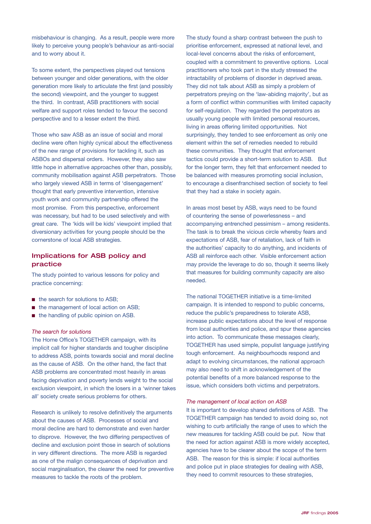misbehaviour is changing. As a result, people were more likely to perceive young people's behaviour as anti-social and to worry about it.

To some extent, the perspectives played out tensions between younger and older generations, with the older generation more likely to articulate the first (and possibly the second) viewpoint, and the younger to suggest the third. In contrast, ASB practitioners with social welfare and support roles tended to favour the second perspective and to a lesser extent the third.

Those who saw ASB as an issue of social and moral decline were often highly cynical about the effectiveness of the new range of provisions for tackling it, such as ASBOs and dispersal orders. However, they also saw little hope in alternative approaches other than, possibly, community mobilisation against ASB perpetrators. Those who largely viewed ASB in terms of 'disengagement' thought that early preventive intervention, intensive youth work and community partnership offered the most promise. From this perspective, enforcement was necessary, but had to be used selectively and with great care. The 'kids will be kids' viewpoint implied that diversionary activities for young people should be the cornerstone of local ASB strategies.

## Implications for ASB policy and practice

The study pointed to various lessons for policy and practice concerning:

- the search for solutions to ASB:
- the management of local action on ASB;
- the handling of public opinion on ASB.

#### *The search for solutions*

The Home Office's TOGETHER campaign, with its implicit call for higher standards and tougher discipline to address ASB, points towards social and moral decline as the cause of ASB. On the other hand, the fact that ASB problems are concentrated most heavily in areas facing deprivation and poverty lends weight to the social exclusion viewpoint, in which the losers in a 'winner takes all' society create serious problems for others.

Research is unlikely to resolve definitively the arguments about the causes of ASB. Processes of social and moral decline are hard to demonstrate and even harder to disprove. However, the two differing perspectives of decline and exclusion point those in search of solutions in very different directions. The more ASB is regarded as one of the malign consequences of deprivation and social marginalisation, the clearer the need for preventive measures to tackle the roots of the problem.

The study found a sharp contrast between the push to prioritise enforcement, expressed at national level, and local-level concerns about the risks of enforcement, coupled with a commitment to preventive options. Local practitioners who took part in the study stressed the intractability of problems of disorder in deprived areas. They did not talk about ASB as simply a problem of perpetrators preying on the 'law-abiding majority', but as a form of conflict within communities with limited capacity for self-regulation. They regarded the perpetrators as usually young people with limited personal resources, living in areas offering limited opportunities. Not surprisingly, they tended to see enforcement as only one element within the set of remedies needed to rebuild these communities. They thought that enforcement tactics could provide a short-term solution to ASB. But for the longer term, they felt that enforcement needed to be balanced with measures promoting social inclusion, to encourage a disenfranchised section of society to feel that they had a stake in society again.

In areas most beset by ASB, ways need to be found of countering the sense of powerlessness – and accompanying entrenched pessimism – among residents. The task is to break the vicious circle whereby fears and expectations of ASB, fear of retaliation, lack of faith in the authorities' capacity to do anything, and incidents of ASB all reinforce each other. Visible enforcement action may provide the leverage to do so, though it seems likely that measures for building community capacity are also needed.

The national TOGETHER initiative is a time-limited campaign. It is intended to respond to public concerns, reduce the public's preparedness to tolerate ASB, increase public expectations about the level of response from local authorities and police, and spur these agencies into action. To communicate these messages clearly, TOGETHER has used simple, populist language justifying tough enforcement. As neighbourhoods respond and adapt to evolving circumstances, the national approach may also need to shift in acknowledgement of the potential benefits of a more balanced response to the issue, which considers both victims and perpetrators.

#### *The management of local action on ASB*

It is important to develop shared definitions of ASB. The TOGETHER campaign has tended to avoid doing so, not wishing to curb artificially the range of uses to which the new measures for tackling ASB could be put. Now that the need for action against ASB is more widely accepted, agencies have to be clearer about the scope of the term ASB. The reason for this is simple: if local authorities and police put in place strategies for dealing with ASB, they need to commit resources to these strategies,